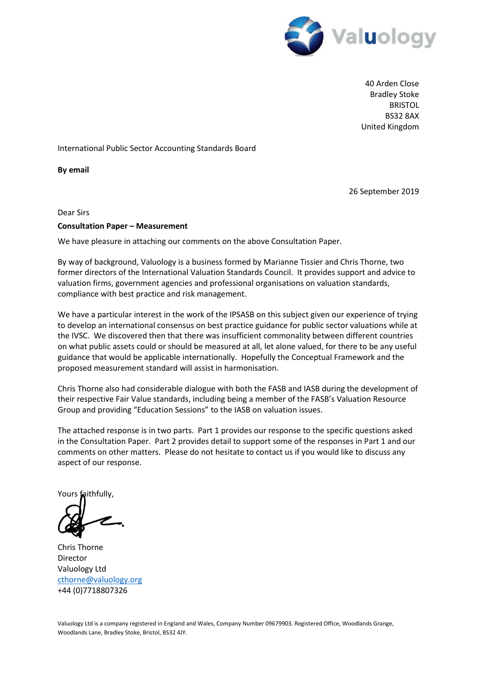

40 Arden Close Bradley Stoke BRISTOL BS32 8AX United Kingdom

### International Public Sector Accounting Standards Board

**By email** 

26 September 2019

Dear Sirs

#### **Consultation Paper – Measurement**

We have pleasure in attaching our comments on the above Consultation Paper.

By way of background, Valuology is a business formed by Marianne Tissier and Chris Thorne, two former directors of the International Valuation Standards Council. It provides support and advice to valuation firms, government agencies and professional organisations on valuation standards, compliance with best practice and risk management.

We have a particular interest in the work of the IPSASB on this subject given our experience of trying to develop an international consensus on best practice guidance for public sector valuations while at the IVSC. We discovered then that there was insufficient commonality between different countries on what public assets could or should be measured at all, let alone valued, for there to be any useful guidance that would be applicable internationally. Hopefully the Conceptual Framework and the proposed measurement standard will assist in harmonisation.

Chris Thorne also had considerable dialogue with both the FASB and IASB during the development of their respective Fair Value standards, including being a member of the FASB's Valuation Resource Group and providing "Education Sessions" to the IASB on valuation issues.

The attached response is in two parts. Part 1 provides our response to the specific questions asked in the Consultation Paper. Part 2 provides detail to support some of the responses in Part 1 and our comments on other matters. Please do not hesitate to contact us if you would like to discuss any aspect of our response.

Yours faithfully,

Chris Thorne Director Valuology Ltd [cthorne@valuology.org](mailto:cthorne@valuology.org) +44 (0)7718807326

Valuology Ltd is a company registered in England and Wales, Company Number 09679903. Registered Office, Woodlands Grange, Woodlands Lane, Bradley Stoke, Bristol, BS32 4JY.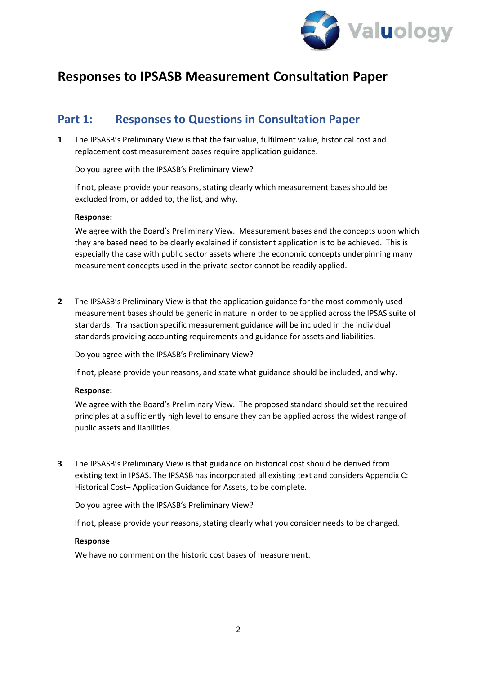

# **Responses to IPSASB Measurement Consultation Paper**

# **Part 1: Responses to Questions in Consultation Paper**

**1** The IPSASB's Preliminary View is that the fair value, fulfilment value, historical cost and replacement cost measurement bases require application guidance.

Do you agree with the IPSASB's Preliminary View?

If not, please provide your reasons, stating clearly which measurement bases should be excluded from, or added to, the list, and why.

### **Response:**

We agree with the Board's Preliminary View. Measurement bases and the concepts upon which they are based need to be clearly explained if consistent application is to be achieved. This is especially the case with public sector assets where the economic concepts underpinning many measurement concepts used in the private sector cannot be readily applied.

**2** The IPSASB's Preliminary View is that the application guidance for the most commonly used measurement bases should be generic in nature in order to be applied across the IPSAS suite of standards. Transaction specific measurement guidance will be included in the individual standards providing accounting requirements and guidance for assets and liabilities.

Do you agree with the IPSASB's Preliminary View?

If not, please provide your reasons, and state what guidance should be included, and why.

#### **Response:**

We agree with the Board's Preliminary View. The proposed standard should set the required principles at a sufficiently high level to ensure they can be applied across the widest range of public assets and liabilities.

**3** The IPSASB's Preliminary View is that guidance on historical cost should be derived from existing text in IPSAS. The IPSASB has incorporated all existing text and considers Appendix C: Historical Cost– Application Guidance for Assets, to be complete.

Do you agree with the IPSASB's Preliminary View?

If not, please provide your reasons, stating clearly what you consider needs to be changed.

#### **Response**

We have no comment on the historic cost bases of measurement.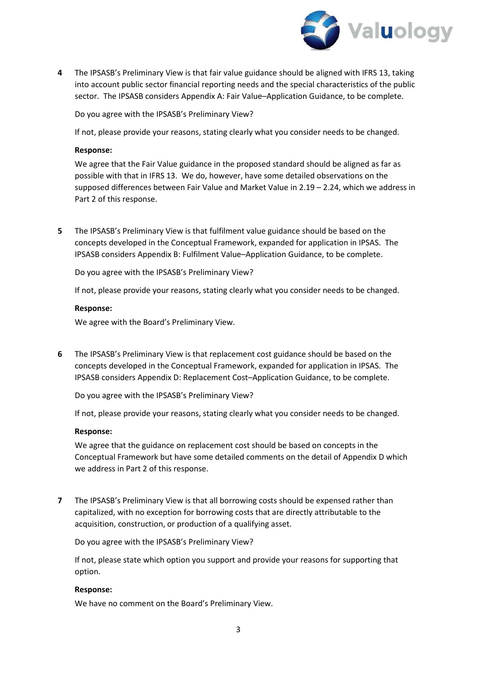

**4** The IPSASB's Preliminary View is that fair value guidance should be aligned with IFRS 13, taking into account public sector financial reporting needs and the special characteristics of the public sector. The IPSASB considers Appendix A: Fair Value–Application Guidance, to be complete.

Do you agree with the IPSASB's Preliminary View?

If not, please provide your reasons, stating clearly what you consider needs to be changed.

#### **Response:**

We agree that the Fair Value guidance in the proposed standard should be aligned as far as possible with that in IFRS 13. We do, however, have some detailed observations on the supposed differences between Fair Value and Market Value in 2.19 – 2.24, which we address in Part 2 of this response.

**5** The IPSASB's Preliminary View is that fulfilment value guidance should be based on the concepts developed in the Conceptual Framework, expanded for application in IPSAS. The IPSASB considers Appendix B: Fulfilment Value–Application Guidance, to be complete.

Do you agree with the IPSASB's Preliminary View?

If not, please provide your reasons, stating clearly what you consider needs to be changed.

#### **Response:**

We agree with the Board's Preliminary View.

**6** The IPSASB's Preliminary View is that replacement cost guidance should be based on the concepts developed in the Conceptual Framework, expanded for application in IPSAS. The IPSASB considers Appendix D: Replacement Cost–Application Guidance, to be complete.

Do you agree with the IPSASB's Preliminary View?

If not, please provide your reasons, stating clearly what you consider needs to be changed.

### **Response:**

We agree that the guidance on replacement cost should be based on concepts in the Conceptual Framework but have some detailed comments on the detail of Appendix D which we address in Part 2 of this response.

**7** The IPSASB's Preliminary View is that all borrowing costs should be expensed rather than capitalized, with no exception for borrowing costs that are directly attributable to the acquisition, construction, or production of a qualifying asset.

Do you agree with the IPSASB's Preliminary View?

If not, please state which option you support and provide your reasons for supporting that option.

#### **Response:**

We have no comment on the Board's Preliminary View.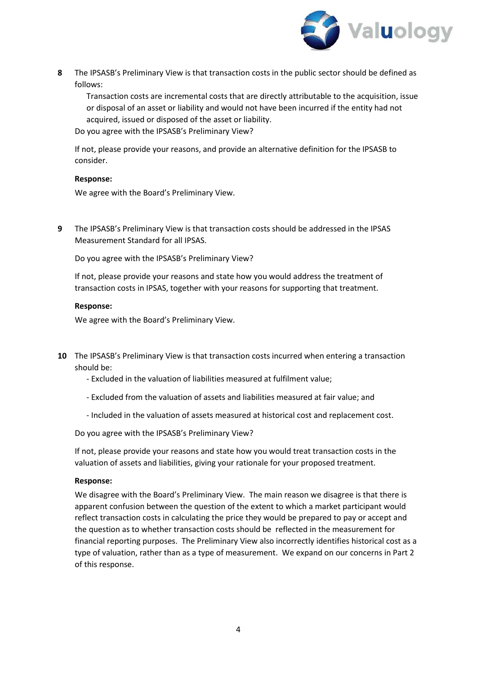

**8** The IPSASB's Preliminary View is that transaction costs in the public sector should be defined as follows:

Transaction costs are incremental costs that are directly attributable to the acquisition, issue or disposal of an asset or liability and would not have been incurred if the entity had not acquired, issued or disposed of the asset or liability.

Do you agree with the IPSASB's Preliminary View?

If not, please provide your reasons, and provide an alternative definition for the IPSASB to consider.

## **Response:**

We agree with the Board's Preliminary View.

**9** The IPSASB's Preliminary View is that transaction costs should be addressed in the IPSAS Measurement Standard for all IPSAS.

Do you agree with the IPSASB's Preliminary View?

If not, please provide your reasons and state how you would address the treatment of transaction costs in IPSAS, together with your reasons for supporting that treatment.

## **Response:**

We agree with the Board's Preliminary View.

- **10** The IPSASB's Preliminary View is that transaction costs incurred when entering a transaction should be:
	- Excluded in the valuation of liabilities measured at fulfilment value;
	- Excluded from the valuation of assets and liabilities measured at fair value; and
	- Included in the valuation of assets measured at historical cost and replacement cost.

Do you agree with the IPSASB's Preliminary View?

If not, please provide your reasons and state how you would treat transaction costs in the valuation of assets and liabilities, giving your rationale for your proposed treatment.

### **Response:**

We disagree with the Board's Preliminary View. The main reason we disagree is that there is apparent confusion between the question of the extent to which a market participant would reflect transaction costs in calculating the price they would be prepared to pay or accept and the question as to whether transaction costs should be reflected in the measurement for financial reporting purposes. The Preliminary View also incorrectly identifies historical cost as a type of valuation, rather than as a type of measurement. We expand on our concerns in Part 2 of this response.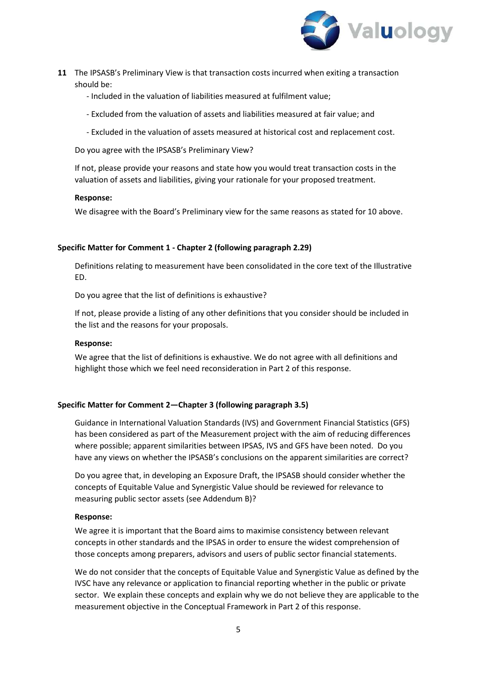

- **11** The IPSASB's Preliminary View is that transaction costs incurred when exiting a transaction should be:
	- Included in the valuation of liabilities measured at fulfilment value;
	- Excluded from the valuation of assets and liabilities measured at fair value; and
	- Excluded in the valuation of assets measured at historical cost and replacement cost.

Do you agree with the IPSASB's Preliminary View?

If not, please provide your reasons and state how you would treat transaction costs in the valuation of assets and liabilities, giving your rationale for your proposed treatment.

#### **Response:**

We disagree with the Board's Preliminary view for the same reasons as stated for 10 above.

### **Specific Matter for Comment 1 - Chapter 2 (following paragraph 2.29)**

Definitions relating to measurement have been consolidated in the core text of the Illustrative ED.

Do you agree that the list of definitions is exhaustive?

If not, please provide a listing of any other definitions that you consider should be included in the list and the reasons for your proposals.

### **Response:**

We agree that the list of definitions is exhaustive. We do not agree with all definitions and highlight those which we feel need reconsideration in Part 2 of this response.

### **Specific Matter for Comment 2—Chapter 3 (following paragraph 3.5)**

Guidance in International Valuation Standards (IVS) and Government Financial Statistics (GFS) has been considered as part of the Measurement project with the aim of reducing differences where possible; apparent similarities between IPSAS, IVS and GFS have been noted. Do you have any views on whether the IPSASB's conclusions on the apparent similarities are correct?

Do you agree that, in developing an Exposure Draft, the IPSASB should consider whether the concepts of Equitable Value and Synergistic Value should be reviewed for relevance to measuring public sector assets (see Addendum B)?

### **Response:**

We agree it is important that the Board aims to maximise consistency between relevant concepts in other standards and the IPSAS in order to ensure the widest comprehension of those concepts among preparers, advisors and users of public sector financial statements.

We do not consider that the concepts of Equitable Value and Synergistic Value as defined by the IVSC have any relevance or application to financial reporting whether in the public or private sector. We explain these concepts and explain why we do not believe they are applicable to the measurement objective in the Conceptual Framework in Part 2 of this response.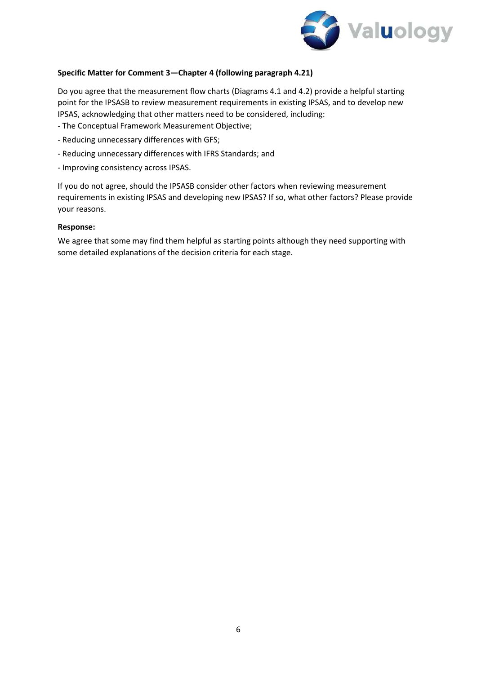

## **Specific Matter for Comment 3—Chapter 4 (following paragraph 4.21)**

Do you agree that the measurement flow charts (Diagrams 4.1 and 4.2) provide a helpful starting point for the IPSASB to review measurement requirements in existing IPSAS, and to develop new IPSAS, acknowledging that other matters need to be considered, including:

- The Conceptual Framework Measurement Objective;
- Reducing unnecessary differences with GFS;
- Reducing unnecessary differences with IFRS Standards; and
- Improving consistency across IPSAS.

If you do not agree, should the IPSASB consider other factors when reviewing measurement requirements in existing IPSAS and developing new IPSAS? If so, what other factors? Please provide your reasons.

### **Response:**

We agree that some may find them helpful as starting points although they need supporting with some detailed explanations of the decision criteria for each stage.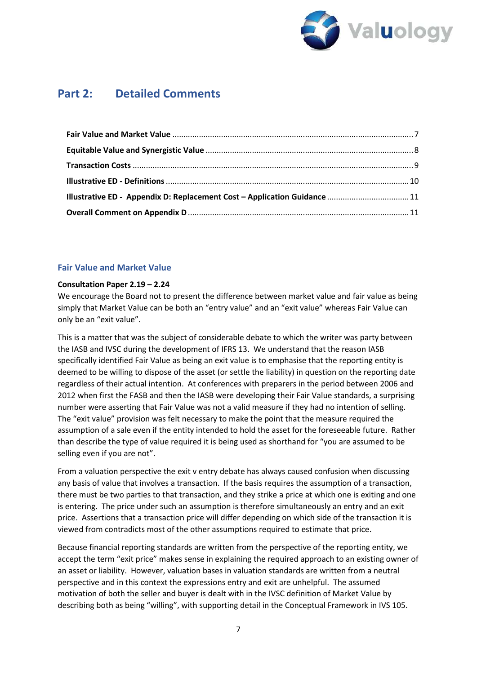

# **Part 2: Detailed Comments**

| Illustrative ED - Appendix D: Replacement Cost - Application Guidance  11 |  |
|---------------------------------------------------------------------------|--|
|                                                                           |  |

## <span id="page-6-0"></span>**Fair Value and Market Value**

### **Consultation Paper 2.19 – 2.24**

We encourage the Board not to present the difference between market value and fair value as being simply that Market Value can be both an "entry value" and an "exit value" whereas Fair Value can only be an "exit value".

This is a matter that was the subject of considerable debate to which the writer was party between the IASB and IVSC during the development of IFRS 13. We understand that the reason IASB specifically identified Fair Value as being an exit value is to emphasise that the reporting entity is deemed to be willing to dispose of the asset (or settle the liability) in question on the reporting date regardless of their actual intention. At conferences with preparers in the period between 2006 and 2012 when first the FASB and then the IASB were developing their Fair Value standards, a surprising number were asserting that Fair Value was not a valid measure if they had no intention of selling. The "exit value" provision was felt necessary to make the point that the measure required the assumption of a sale even if the entity intended to hold the asset for the foreseeable future. Rather than describe the type of value required it is being used as shorthand for "you are assumed to be selling even if you are not".

From a valuation perspective the exit v entry debate has always caused confusion when discussing any basis of value that involves a transaction. If the basis requires the assumption of a transaction, there must be two parties to that transaction, and they strike a price at which one is exiting and one is entering. The price under such an assumption is therefore simultaneously an entry and an exit price. Assertions that a transaction price will differ depending on which side of the transaction it is viewed from contradicts most of the other assumptions required to estimate that price.

Because financial reporting standards are written from the perspective of the reporting entity, we accept the term "exit price" makes sense in explaining the required approach to an existing owner of an asset or liability. However, valuation bases in valuation standards are written from a neutral perspective and in this context the expressions entry and exit are unhelpful. The assumed motivation of both the seller and buyer is dealt with in the IVSC definition of Market Value by describing both as being "willing", with supporting detail in the Conceptual Framework in IVS 105.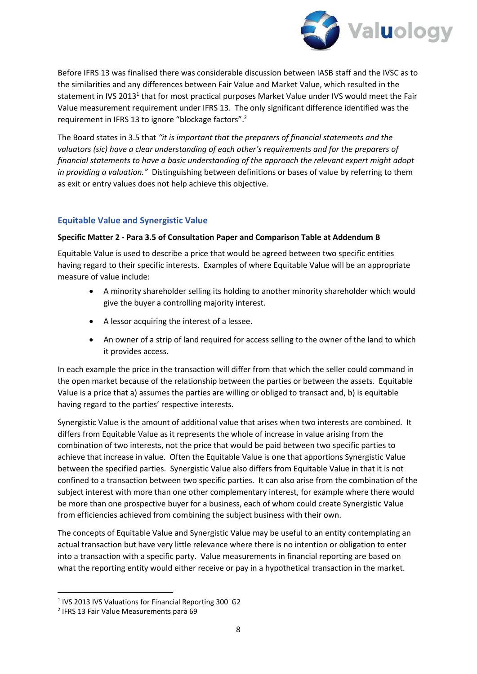

Before IFRS 13 was finalised there was considerable discussion between IASB staff and the IVSC as to the similarities and any differences between Fair Value and Market Value, which resulted in the statement in IVS 20[1](#page-7-1)3<sup>1</sup> that for most practical purposes Market Value under IVS would meet the Fair Value measurement requirement under IFRS 13. The only significant difference identified was the requirement in IFRS 13 to ignore "blockage factors".<sup>[2](#page-7-2)</sup>

The Board states in 3.5 that *"it is important that the preparers of financial statements and the valuators (sic) have a clear understanding of each other's requirements and for the preparers of financial statements to have a basic understanding of the approach the relevant expert might adopt in providing a valuation."* Distinguishing between definitions or bases of value by referring to them as exit or entry values does not help achieve this objective.

# <span id="page-7-0"></span>**Equitable Value and Synergistic Value**

## **Specific Matter 2 - Para 3.5 of Consultation Paper and Comparison Table at Addendum B**

Equitable Value is used to describe a price that would be agreed between two specific entities having regard to their specific interests. Examples of where Equitable Value will be an appropriate measure of value include:

- A minority shareholder selling its holding to another minority shareholder which would give the buyer a controlling majority interest.
- A lessor acquiring the interest of a lessee.
- An owner of a strip of land required for access selling to the owner of the land to which it provides access.

In each example the price in the transaction will differ from that which the seller could command in the open market because of the relationship between the parties or between the assets. Equitable Value is a price that a) assumes the parties are willing or obliged to transact and, b) is equitable having regard to the parties' respective interests.

Synergistic Value is the amount of additional value that arises when two interests are combined. It differs from Equitable Value as it represents the whole of increase in value arising from the combination of two interests, not the price that would be paid between two specific parties to achieve that increase in value. Often the Equitable Value is one that apportions Synergistic Value between the specified parties. Synergistic Value also differs from Equitable Value in that it is not confined to a transaction between two specific parties. It can also arise from the combination of the subject interest with more than one other complementary interest, for example where there would be more than one prospective buyer for a business, each of whom could create Synergistic Value from efficiencies achieved from combining the subject business with their own.

The concepts of Equitable Value and Synergistic Value may be useful to an entity contemplating an actual transaction but have very little relevance where there is no intention or obligation to enter into a transaction with a specific party. Value measurements in financial reporting are based on what the reporting entity would either receive or pay in a hypothetical transaction in the market.

<span id="page-7-1"></span><sup>&</sup>lt;sup>1</sup> IVS 2013 IVS Valuations for Financial Reporting 300 G2

<span id="page-7-2"></span><sup>&</sup>lt;sup>2</sup> IFRS 13 Fair Value Measurements para 69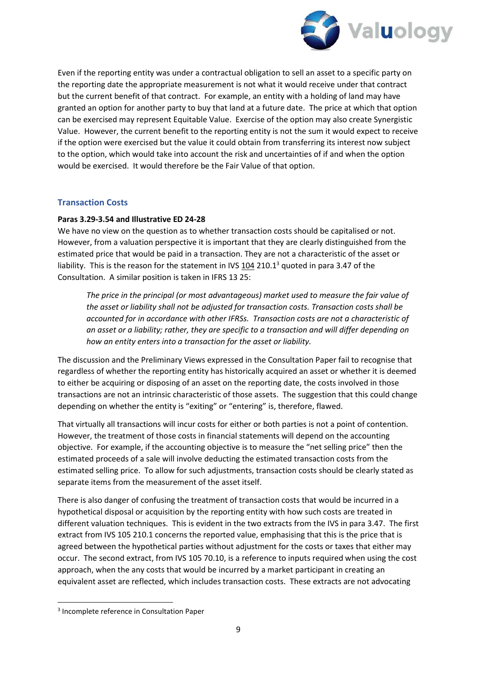

Even if the reporting entity was under a contractual obligation to sell an asset to a specific party on the reporting date the appropriate measurement is not what it would receive under that contract but the current benefit of that contract. For example, an entity with a holding of land may have granted an option for another party to buy that land at a future date. The price at which that option can be exercised may represent Equitable Value. Exercise of the option may also create Synergistic Value. However, the current benefit to the reporting entity is not the sum it would expect to receive if the option were exercised but the value it could obtain from transferring its interest now subject to the option, which would take into account the risk and uncertainties of if and when the option would be exercised. It would therefore be the Fair Value of that option.

# <span id="page-8-0"></span>**Transaction Costs**

## **Paras 3.29-3.54 and Illustrative ED 24-28**

We have no view on the question as to whether transaction costs should be capitalised or not. However, from a valuation perspective it is important that they are clearly distinguished from the estimated price that would be paid in a transaction. They are not a characteristic of the asset or liability. This is the reason for the statement in IVS  $104$  210.1<sup>[3](#page-8-1)</sup> quoted in para 3.47 of the Consultation. A similar position is taken in IFRS 13 25:

*The price in the principal (or most advantageous) market used to measure the fair value of the asset or liability shall not be adjusted for transaction costs. Transaction costs shall be accounted for in accordance with other IFRSs. Transaction costs are not a characteristic of an asset or a liability; rather, they are specific to a transaction and will differ depending on how an entity enters into a transaction for the asset or liability.* 

The discussion and the Preliminary Views expressed in the Consultation Paper fail to recognise that regardless of whether the reporting entity has historically acquired an asset or whether it is deemed to either be acquiring or disposing of an asset on the reporting date, the costs involved in those transactions are not an intrinsic characteristic of those assets. The suggestion that this could change depending on whether the entity is "exiting" or "entering" is, therefore, flawed.

That virtually all transactions will incur costs for either or both parties is not a point of contention. However, the treatment of those costs in financial statements will depend on the accounting objective. For example, if the accounting objective is to measure the "net selling price" then the estimated proceeds of a sale will involve deducting the estimated transaction costs from the estimated selling price. To allow for such adjustments, transaction costs should be clearly stated as separate items from the measurement of the asset itself.

There is also danger of confusing the treatment of transaction costs that would be incurred in a hypothetical disposal or acquisition by the reporting entity with how such costs are treated in different valuation techniques. This is evident in the two extracts from the IVS in para 3.47. The first extract from IVS 105 210.1 concerns the reported value, emphasising that this is the price that is agreed between the hypothetical parties without adjustment for the costs or taxes that either may occur. The second extract, from IVS 105 70.10, is a reference to inputs required when using the cost approach, when the any costs that would be incurred by a market participant in creating an equivalent asset are reflected, which includes transaction costs. These extracts are not advocating

<span id="page-8-1"></span><sup>&</sup>lt;sup>3</sup> Incomplete reference in Consultation Paper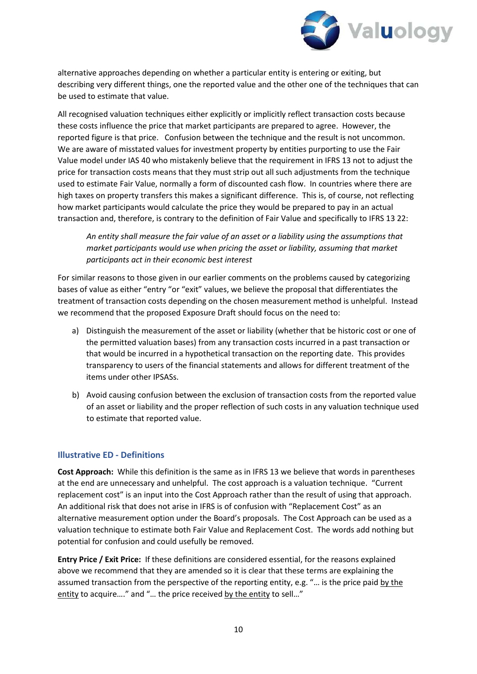

alternative approaches depending on whether a particular entity is entering or exiting, but describing very different things, one the reported value and the other one of the techniques that can be used to estimate that value.

All recognised valuation techniques either explicitly or implicitly reflect transaction costs because these costs influence the price that market participants are prepared to agree. However, the reported figure is that price. Confusion between the technique and the result is not uncommon. We are aware of misstated values for investment property by entities purporting to use the Fair Value model under IAS 40 who mistakenly believe that the requirement in IFRS 13 not to adjust the price for transaction costs means that they must strip out all such adjustments from the technique used to estimate Fair Value, normally a form of discounted cash flow. In countries where there are high taxes on property transfers this makes a significant difference. This is, of course, not reflecting how market participants would calculate the price they would be prepared to pay in an actual transaction and, therefore, is contrary to the definition of Fair Value and specifically to IFRS 13 22:

*An entity shall measure the fair value of an asset or a liability using the assumptions that market participants would use when pricing the asset or liability, assuming that market participants act in their economic best interest* 

For similar reasons to those given in our earlier comments on the problems caused by categorizing bases of value as either "entry "or "exit" values, we believe the proposal that differentiates the treatment of transaction costs depending on the chosen measurement method is unhelpful. Instead we recommend that the proposed Exposure Draft should focus on the need to:

- a) Distinguish the measurement of the asset or liability (whether that be historic cost or one of the permitted valuation bases) from any transaction costs incurred in a past transaction or that would be incurred in a hypothetical transaction on the reporting date. This provides transparency to users of the financial statements and allows for different treatment of the items under other IPSASs.
- b) Avoid causing confusion between the exclusion of transaction costs from the reported value of an asset or liability and the proper reflection of such costs in any valuation technique used to estimate that reported value.

# <span id="page-9-0"></span>**Illustrative ED - Definitions**

**Cost Approach:** While this definition is the same as in IFRS 13 we believe that words in parentheses at the end are unnecessary and unhelpful. The cost approach is a valuation technique. "Current replacement cost" is an input into the Cost Approach rather than the result of using that approach. An additional risk that does not arise in IFRS is of confusion with "Replacement Cost" as an alternative measurement option under the Board's proposals. The Cost Approach can be used as a valuation technique to estimate both Fair Value and Replacement Cost. The words add nothing but potential for confusion and could usefully be removed.

**Entry Price / Exit Price:** If these definitions are considered essential, for the reasons explained above we recommend that they are amended so it is clear that these terms are explaining the assumed transaction from the perspective of the reporting entity, e.g. "… is the price paid by the entity to acquire...." and "... the price received by the entity to sell..."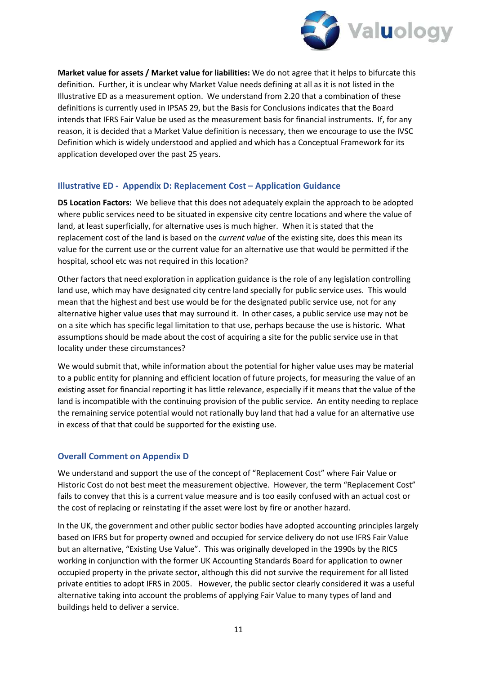

**Market value for assets / Market value for liabilities:** We do not agree that it helps to bifurcate this definition. Further, it is unclear why Market Value needs defining at all as it is not listed in the Illustrative ED as a measurement option. We understand from 2.20 that a combination of these definitions is currently used in IPSAS 29, but the Basis for Conclusions indicates that the Board intends that IFRS Fair Value be used as the measurement basis for financial instruments. If, for any reason, it is decided that a Market Value definition is necessary, then we encourage to use the IVSC Definition which is widely understood and applied and which has a Conceptual Framework for its application developed over the past 25 years.

# <span id="page-10-0"></span>**Illustrative ED - Appendix D: Replacement Cost – Application Guidance**

**D5 Location Factors:** We believe that this does not adequately explain the approach to be adopted where public services need to be situated in expensive city centre locations and where the value of land, at least superficially, for alternative uses is much higher. When it is stated that the replacement cost of the land is based on the *current value* of the existing site, does this mean its value for the current use or the current value for an alternative use that would be permitted if the hospital, school etc was not required in this location?

Other factors that need exploration in application guidance is the role of any legislation controlling land use, which may have designated city centre land specially for public service uses. This would mean that the highest and best use would be for the designated public service use, not for any alternative higher value uses that may surround it. In other cases, a public service use may not be on a site which has specific legal limitation to that use, perhaps because the use is historic. What assumptions should be made about the cost of acquiring a site for the public service use in that locality under these circumstances?

We would submit that, while information about the potential for higher value uses may be material to a public entity for planning and efficient location of future projects, for measuring the value of an existing asset for financial reporting it has little relevance, especially if it means that the value of the land is incompatible with the continuing provision of the public service. An entity needing to replace the remaining service potential would not rationally buy land that had a value for an alternative use in excess of that that could be supported for the existing use.

# <span id="page-10-1"></span>**Overall Comment on Appendix D**

We understand and support the use of the concept of "Replacement Cost" where Fair Value or Historic Cost do not best meet the measurement objective. However, the term "Replacement Cost" fails to convey that this is a current value measure and is too easily confused with an actual cost or the cost of replacing or reinstating if the asset were lost by fire or another hazard.

In the UK, the government and other public sector bodies have adopted accounting principles largely based on IFRS but for property owned and occupied for service delivery do not use IFRS Fair Value but an alternative, "Existing Use Value". This was originally developed in the 1990s by the RICS working in conjunction with the former UK Accounting Standards Board for application to owner occupied property in the private sector, although this did not survive the requirement for all listed private entities to adopt IFRS in 2005. However, the public sector clearly considered it was a useful alternative taking into account the problems of applying Fair Value to many types of land and buildings held to deliver a service.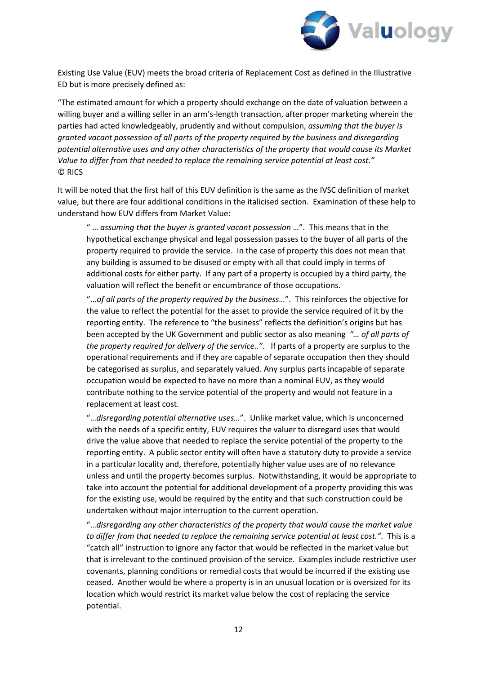

Existing Use Value (EUV) meets the broad criteria of Replacement Cost as defined in the Illustrative ED but is more precisely defined as:

"The estimated amount for which a property should exchange on the date of valuation between a willing buyer and a willing seller in an arm's-length transaction, after proper marketing wherein the parties had acted knowledgeably, prudently and without compulsion, *assuming that the buyer is granted vacant possession of all parts of the property required by the business and disregarding potential alternative uses and any other characteristics of the property that would cause its Market Value to differ from that needed to replace the remaining service potential at least cost."* © RICS

It will be noted that the first half of this EUV definition is the same as the IVSC definition of market value, but there are four additional conditions in the italicised section. Examination of these help to understand how EUV differs from Market Value:

" … *assuming that the buyer is granted vacant possession* …". This means that in the hypothetical exchange physical and legal possession passes to the buyer of all parts of the property required to provide the service. In the case of property this does not mean that any building is assumed to be disused or empty with all that could imply in terms of additional costs for either party. If any part of a property is occupied by a third party, the valuation will reflect the benefit or encumbrance of those occupations.

"...*of all parts of the property required by the business*…". This reinforces the objective for the value to reflect the potential for the asset to provide the service required of it by the reporting entity. The reference to "the business" reflects the definition's origins but has been accepted by the UK Government and public sector as also meaning *"… of all parts of the property required for delivery of the service.."*. If parts of a property are surplus to the operational requirements and if they are capable of separate occupation then they should be categorised as surplus, and separately valued. Any surplus parts incapable of separate occupation would be expected to have no more than a nominal EUV, as they would contribute nothing to the service potential of the property and would not feature in a replacement at least cost.

"…*disregarding potential alternative uses…*". Unlike market value, which is unconcerned with the needs of a specific entity, EUV requires the valuer to disregard uses that would drive the value above that needed to replace the service potential of the property to the reporting entity. A public sector entity will often have a statutory duty to provide a service in a particular locality and, therefore, potentially higher value uses are of no relevance unless and until the property becomes surplus. Notwithstanding, it would be appropriate to take into account the potential for additional development of a property providing this was for the existing use, would be required by the entity and that such construction could be undertaken without major interruption to the current operation.

"…*disregarding any other characteristics of the property that would cause the market value to differ from that needed to replace the remaining service potential at least cost."*. This is a "catch all" instruction to ignore any factor that would be reflected in the market value but that is irrelevant to the continued provision of the service. Examples include restrictive user covenants, planning conditions or remedial costs that would be incurred if the existing use ceased. Another would be where a property is in an unusual location or is oversized for its location which would restrict its market value below the cost of replacing the service potential.